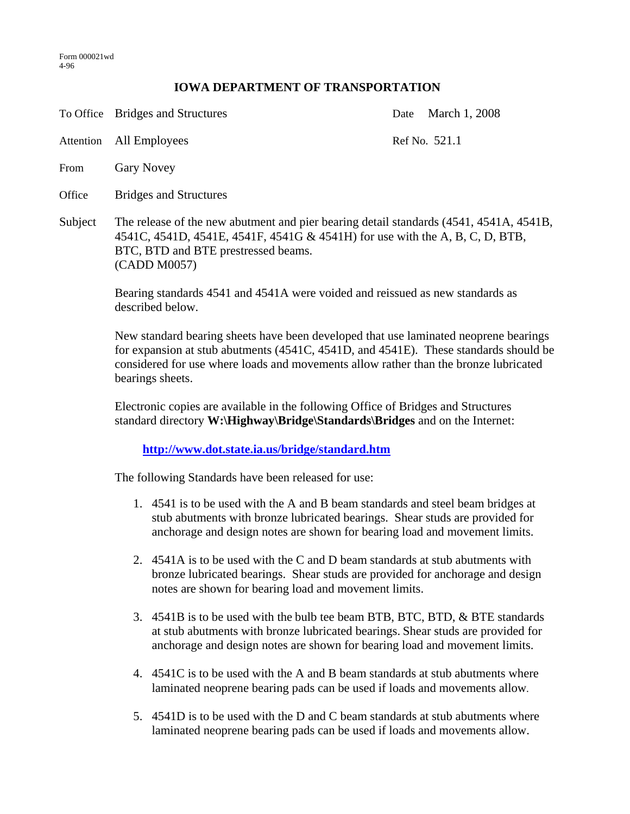## **IOWA DEPARTMENT OF TRANSPORTATION**

To Office Bridges and Structures Date March 1, 2008 Attention All Employees Ref No. 521.1 From Gary Novey Office Bridges and Structures Subject The release of the new abutment and pier bearing detail standards (4541, 4541A, 4541B, 4541C, 4541D, 4541E, 4541F, 4541G & 4541H) for use with the A, B, C, D, BTB, BTC, BTD and BTE prestressed beams. (CADD M0057)

> Bearing standards 4541 and 4541A were voided and reissued as new standards as described below.

New standard bearing sheets have been developed that use laminated neoprene bearings for expansion at stub abutments (4541C, 4541D, and 4541E). These standards should be considered for use where loads and movements allow rather than the bronze lubricated bearings sheets.

Electronic copies are available in the following Office of Bridges and Structures standard directory **W:\Highway\Bridge\Standards\Bridges** and on the Internet:

**http://www.dot.state.ia.us/bridge/standard.htm**

The following Standards have been released for use:

- 1. 4541 is to be used with the A and B beam standards and steel beam bridges at stub abutments with bronze lubricated bearings. Shear studs are provided for anchorage and design notes are shown for bearing load and movement limits.
- 2. 4541A is to be used with the C and D beam standards at stub abutments with bronze lubricated bearings. Shear studs are provided for anchorage and design notes are shown for bearing load and movement limits.
- 3. 4541B is to be used with the bulb tee beam BTB, BTC, BTD, & BTE standards at stub abutments with bronze lubricated bearings. Shear studs are provided for anchorage and design notes are shown for bearing load and movement limits.
- 4. 4541C is to be used with the A and B beam standards at stub abutments where laminated neoprene bearing pads can be used if loads and movements allow.
- 5. 4541D is to be used with the D and C beam standards at stub abutments where laminated neoprene bearing pads can be used if loads and movements allow.